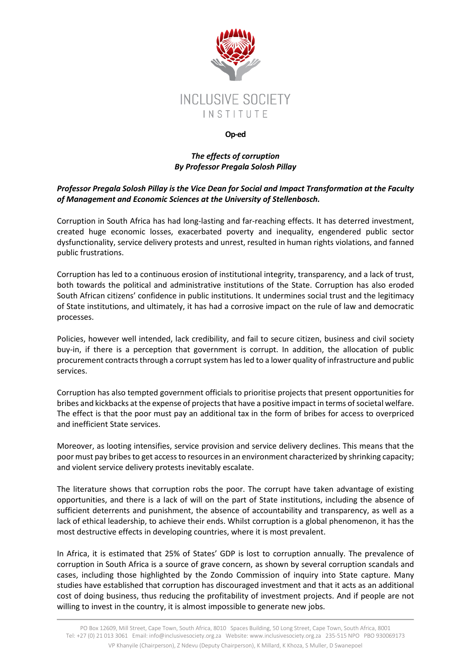

## **Op-ed**

## *The effects of corruption By Professor Pregala Solosh Pillay*

## *Professor Pregala Solosh Pillay is the Vice Dean for Social and Impact Transformation at the Faculty of Management and Economic Sciences at the University of Stellenbosch.*

Corruption in South Africa has had long-lasting and far-reaching effects. It has deterred investment, created huge economic losses, exacerbated poverty and inequality, engendered public sector dysfunctionality, service delivery protests and unrest, resulted in human rights violations, and fanned public frustrations.

Corruption has led to a continuous erosion of institutional integrity, transparency, and a lack of trust, both towards the political and administrative institutions of the State. Corruption has also eroded South African citizens' confidence in public institutions. It undermines social trust and the legitimacy of State institutions, and ultimately, it has had a corrosive impact on the rule of law and democratic processes.

Policies, however well intended, lack credibility, and fail to secure citizen, business and civil society buy-in, if there is a perception that government is corrupt. In addition, the allocation of public procurement contracts through a corrupt system has led to a lower quality of infrastructure and public services.

Corruption has also tempted government officials to prioritise projects that present opportunities for bribes and kickbacks at the expense of projects that have a positive impact in terms of societal welfare. The effect is that the poor must pay an additional tax in the form of bribes for access to overpriced and inefficient State services.

Moreover, as looting intensifies, service provision and service delivery declines. This means that the poor must pay bribes to get access to resources in an environment characterized by shrinking capacity; and violent service delivery protests inevitably escalate.

The literature shows that corruption robs the poor. The corrupt have taken advantage of existing opportunities, and there is a lack of will on the part of State institutions, including the absence of sufficient deterrents and punishment, the absence of accountability and transparency, as well as a lack of ethical leadership, to achieve their ends. Whilst corruption is a global phenomenon, it has the most destructive effects in developing countries, where it is most prevalent.

In Africa, it is estimated that 25% of States' GDP is lost to corruption annually. The prevalence of corruption in South Africa is a source of grave concern, as shown by several corruption scandals and cases, including those highlighted by the Zondo Commission of inquiry into State capture. Many studies have established that corruption has discouraged investment and that it acts as an additional cost of doing business, thus reducing the profitability of investment projects. And if people are not willing to invest in the country, it is almost impossible to generate new jobs.